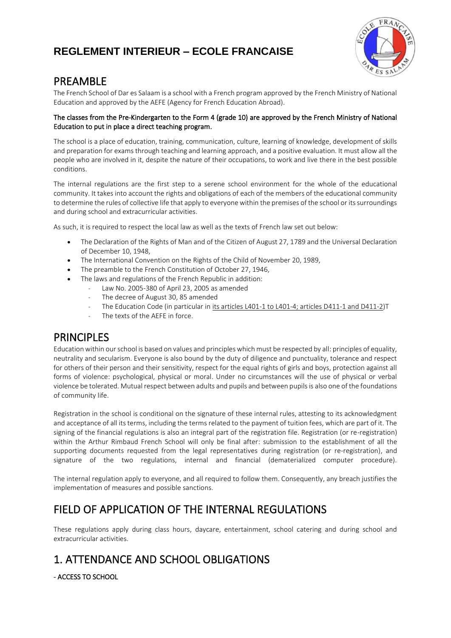

# PREAMBLE

The French School of Dar es Salaam is a school with a French program approved by the French Ministry of National Education and approved by the AEFE (Agency for French Education Abroad).

### The classes from the Pre-Kindergarten to the Form 4 (grade 10) are approved by the French Ministry of National Education to put in place a direct teaching program.

The school is a place of education, training, communication, culture, learning of knowledge, development of skills and preparation for exams through teaching and learning approach, and a positive evaluation. It must allow all the people who are involved in it, despite the nature of their occupations, to work and live there in the best possible conditions.

The internal regulations are the first step to a serene school environment for the whole of the educational community. It takes into account the rights and obligations of each of the members of the educational community to determine the rules of collective life that apply to everyone within the premises of the school or its surroundings and during school and extracurricular activities.

As such, it is required to respect the local law as well as the texts of French law set out below:

- The Declaration of the Rights of Man and of the Citizen of August 27, 1789 and the Universal Declaration of December 10, 1948,
- The International Convention on the Rights of the Child of November 20, 1989,
- The preamble to the French Constitution of October 27, 1946,
- The laws and regulations of the French Republic in addition:
	- Law No. 2005-380 of April 23, 2005 as amended
		- The decree of August 30, 85 amended
		- The Education Code (in particular in its articles L401-1 to L401-4; articles D411-1 and D411-2)T
	- The texts of the AEFE in force.

# PRINCIPLES

Education within our school is based on values and principles which must be respected by all: principles of equality, neutrality and secularism. Everyone is also bound by the duty of diligence and punctuality, tolerance and respect for others of their person and their sensitivity, respect for the equal rights of girls and boys, protection against all forms of violence: psychological, physical or moral. Under no circumstances will the use of physical or verbal violence be tolerated. Mutual respect between adults and pupils and between pupils is also one of the foundations of community life.

Registration in the school is conditional on the signature of these internal rules, attesting to its acknowledgment and acceptance of all its terms, including the terms related to the payment of tuition fees, which are part of it. The signing of the financial regulations is also an integral part of the registration file. Registration (or re-registration) within the Arthur Rimbaud French School will only be final after: submission to the establishment of all the supporting documents requested from the legal representatives during registration (or re-registration), and signature of the two regulations, internal and financial (dematerialized computer procedure).

The internal regulation apply to everyone, and all required to follow them. Consequently, any breach justifies the implementation of measures and possible sanctions.

# FIELD OF APPLICATION OF THE INTERNAL REGULATIONS

These regulations apply during class hours, daycare, entertainment, school catering and during school and extracurricular activities.

# 1. ATTENDANCE AND SCHOOL OBLIGATIONS

- ACCESS TO SCHOOL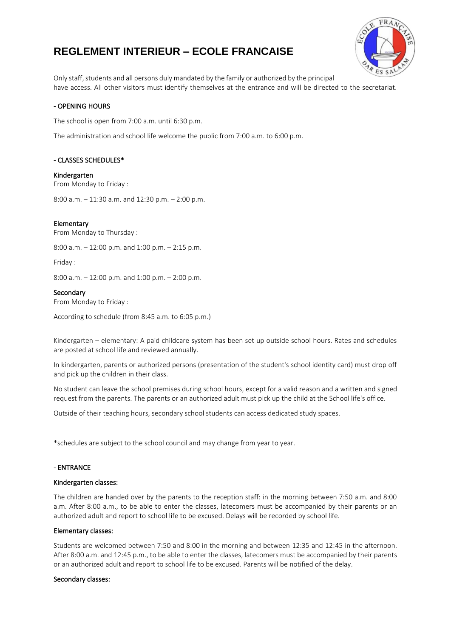

Only staff, students and all persons duly mandated by the family or authorized by the principal have access. All other visitors must identify themselves at the entrance and will be directed to the secretariat.

### - OPENING HOURS

The school is open from 7:00 a.m. until 6:30 p.m.

The administration and school life welcome the public from 7:00 a.m. to 6:00 p.m.

### - CLASSES SCHEDULES\*

Kindergarten From Monday to Friday :

8:00 a.m. – 11:30 a.m. and 12:30 p.m. – 2:00 p.m.

### Elementary

From Monday to Thursday :

8:00 a.m. – 12:00 p.m. and 1:00 p.m. – 2:15 p.m.

Friday :

8:00 a.m. – 12:00 p.m. and 1:00 p.m. – 2:00 p.m.

### **Secondary**

From Monday to Friday :

According to schedule (from 8:45 a.m. to 6:05 p.m.)

Kindergarten – elementary: A paid childcare system has been set up outside school hours. Rates and schedules are posted at school life and reviewed annually.

In kindergarten, parents or authorized persons (presentation of the student's school identity card) must drop off and pick up the children in their class.

No student can leave the school premises during school hours, except for a valid reason and a written and signed request from the parents. The parents or an authorized adult must pick up the child at the School life's office.

Outside of their teaching hours, secondary school students can access dedicated study spaces.

\*schedules are subject to the school council and may change from year to year.

### - ENTRANCE

#### Kindergarten classes:

The children are handed over by the parents to the reception staff: in the morning between 7:50 a.m. and 8:00 a.m. After 8:00 a.m., to be able to enter the classes, latecomers must be accompanied by their parents or an authorized adult and report to school life to be excused. Delays will be recorded by school life.

### Elementary classes:

Students are welcomed between 7:50 and 8:00 in the morning and between 12:35 and 12:45 in the afternoon. After 8:00 a.m. and 12:45 p.m., to be able to enter the classes, latecomers must be accompanied by their parents or an authorized adult and report to school life to be excused. Parents will be notified of the delay.

### Secondary classes: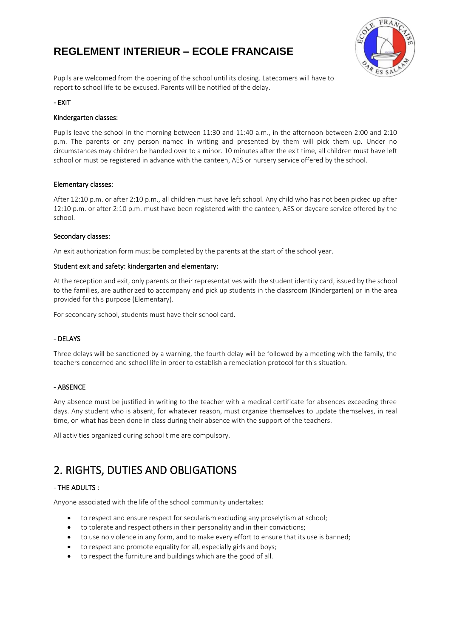

Pupils are welcomed from the opening of the school until its closing. Latecomers will have to report to school life to be excused. Parents will be notified of the delay.

### - EXIT

### Kindergarten classes:

Pupils leave the school in the morning between 11:30 and 11:40 a.m., in the afternoon between 2:00 and 2:10 p.m. The parents or any person named in writing and presented by them will pick them up. Under no circumstances may children be handed over to a minor. 10 minutes after the exit time, all children must have left school or must be registered in advance with the canteen, AES or nursery service offered by the school.

### Elementary classes:

After 12:10 p.m. or after 2:10 p.m., all children must have left school. Any child who has not been picked up after 12:10 p.m. or after 2:10 p.m. must have been registered with the canteen, AES or daycare service offered by the school.

### Secondary classes:

An exit authorization form must be completed by the parents at the start of the school year.

### Student exit and safety: kindergarten and elementary:

At the reception and exit, only parents or their representatives with the student identity card, issued by the school to the families, are authorized to accompany and pick up students in the classroom (Kindergarten) or in the area provided for this purpose (Elementary).

For secondary school, students must have their school card.

### - DELAYS

Three delays will be sanctioned by a warning, the fourth delay will be followed by a meeting with the family, the teachers concerned and school life in order to establish a remediation protocol for this situation.

### - ABSENCE

Any absence must be justified in writing to the teacher with a medical certificate for absences exceeding three days. Any student who is absent, for whatever reason, must organize themselves to update themselves, in real time, on what has been done in class during their absence with the support of the teachers.

All activities organized during school time are compulsory.

# 2. RIGHTS, DUTIES AND OBLIGATIONS

## - THE ADULTS :

Anyone associated with the life of the school community undertakes:

- to respect and ensure respect for secularism excluding any proselytism at school;
- to tolerate and respect others in their personality and in their convictions;
- to use no violence in any form, and to make every effort to ensure that its use is banned;
- to respect and promote equality for all, especially girls and boys;
- to respect the furniture and buildings which are the good of all.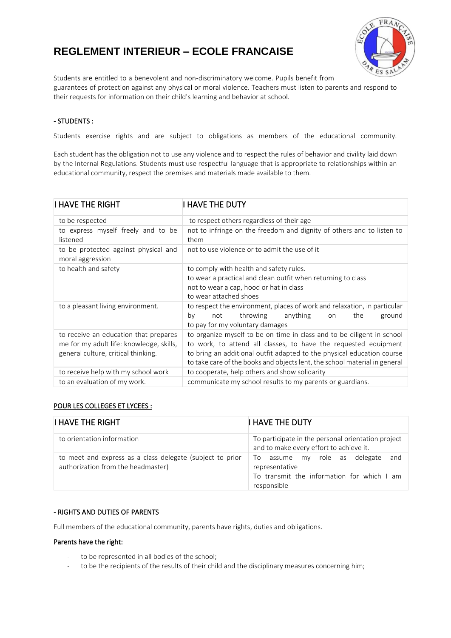

Students are entitled to a benevolent and non-discriminatory welcome. Pupils benefit from guarantees of protection against any physical or moral violence. Teachers must listen to parents and respond to their requests for information on their child's learning and behavior at school.

## - STUDENTS :

Students exercise rights and are subject to obligations as members of the educational community.

Each student has the obligation not to use any violence and to respect the rules of behavior and civility laid down by the Internal Regulations. Students must use respectful language that is appropriate to relationships within an educational community, respect the premises and materials made available to them.

| I HAVE THE RIGHT                                                                                                         | I HAVE THE DUTY                                                                                                                                                                                                                                                                                   |
|--------------------------------------------------------------------------------------------------------------------------|---------------------------------------------------------------------------------------------------------------------------------------------------------------------------------------------------------------------------------------------------------------------------------------------------|
| to be respected                                                                                                          | to respect others regardless of their age                                                                                                                                                                                                                                                         |
| to express myself freely and to be<br>listened                                                                           | not to infringe on the freedom and dignity of others and to listen to<br>them                                                                                                                                                                                                                     |
| to be protected against physical and<br>moral aggression                                                                 | not to use violence or to admit the use of it                                                                                                                                                                                                                                                     |
| to health and safety                                                                                                     | to comply with health and safety rules.<br>to wear a practical and clean outfit when returning to class<br>not to wear a cap, hood or hat in class<br>to wear attached shoes                                                                                                                      |
| to a pleasant living environment.                                                                                        | to respect the environment, places of work and relaxation, in particular<br>throwing anything<br>the<br>ground<br>by<br>not<br>on<br>to pay for my voluntary damages                                                                                                                              |
| to receive an education that prepares<br>me for my adult life: knowledge, skills,<br>general culture, critical thinking. | to organize myself to be on time in class and to be diligent in school<br>to work, to attend all classes, to have the requested equipment<br>to bring an additional outfit adapted to the physical education course<br>to take care of the books and objects lent, the school material in general |
| to receive help with my school work                                                                                      | to cooperate, help others and show solidarity                                                                                                                                                                                                                                                     |
| to an evaluation of my work.                                                                                             | communicate my school results to my parents or guardians.                                                                                                                                                                                                                                         |

## POUR LES COLLEGES ET LYCEES :

| <b>I HAVE THE RIGHT</b>                                                                         | I HAVE THE DUTY                                                                                                            |
|-------------------------------------------------------------------------------------------------|----------------------------------------------------------------------------------------------------------------------------|
| to orientation information                                                                      | To participate in the personal orientation project<br>and to make every effort to achieve it.                              |
| to meet and express as a class delegate (subject to prior<br>authorization from the headmaster) | and<br>my role as delegate<br>To.<br>assume<br>representative<br>To transmit the information for which I am<br>responsible |

### - RIGHTS AND DUTIES OF PARENTS

Full members of the educational community, parents have rights, duties and obligations.

### Parents have the right:

- to be represented in all bodies of the school;
- to be the recipients of the results of their child and the disciplinary measures concerning him;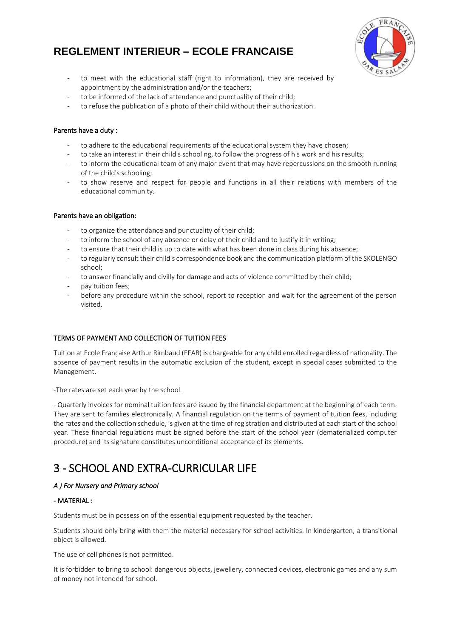

- to meet with the educational staff (right to information), they are received by appointment by the administration and/or the teachers;
- to be informed of the lack of attendance and punctuality of their child;
- to refuse the publication of a photo of their child without their authorization.

### Parents have a duty :

- to adhere to the educational requirements of the educational system they have chosen;
- to take an interest in their child's schooling, to follow the progress of his work and his results;
- to inform the educational team of any major event that may have repercussions on the smooth running of the child's schooling;
- to show reserve and respect for people and functions in all their relations with members of the educational community.

## Parents have an obligation:

- to organize the attendance and punctuality of their child;
- to inform the school of any absence or delay of their child and to justify it in writing;
- to ensure that their child is up to date with what has been done in class during his absence;
- to regularly consult their child's correspondence book and the communication platform of the SKOLENGO school;
- to answer financially and civilly for damage and acts of violence committed by their child;
- pay tuition fees;
- before any procedure within the school, report to reception and wait for the agreement of the person visited.

## TERMS OF PAYMENT AND COLLECTION OF TUITION FEES

Tuition at Ecole Française Arthur Rimbaud (EFAR) is chargeable for any child enrolled regardless of nationality. The absence of payment results in the automatic exclusion of the student, except in special cases submitted to the Management.

-The rates are set each year by the school.

- Quarterly invoices for nominal tuition fees are issued by the financial department at the beginning of each term. They are sent to families electronically. A financial regulation on the terms of payment of tuition fees, including the rates and the collection schedule, is given at the time of registration and distributed at each start of the school year. These financial regulations must be signed before the start of the school year (dematerialized computer procedure) and its signature constitutes unconditional acceptance of its elements.

# 3 - SCHOOL AND EXTRA-CURRICULAR LIFE

## *A ) For Nursery and Primary school*

## - MATERIAL :

Students must be in possession of the essential equipment requested by the teacher.

Students should only bring with them the material necessary for school activities. In kindergarten, a transitional object is allowed.

The use of cell phones is not permitted.

It is forbidden to bring to school: dangerous objects, jewellery, connected devices, electronic games and any sum of money not intended for school.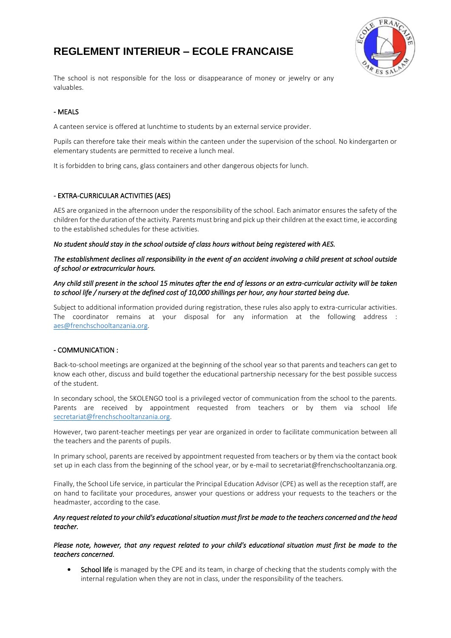

The school is not responsible for the loss or disappearance of money or jewelry or any valuables.

## - MEALS

A canteen service is offered at lunchtime to students by an external service provider.

Pupils can therefore take their meals within the canteen under the supervision of the school. No kindergarten or elementary students are permitted to receive a lunch meal.

It is forbidden to bring cans, glass containers and other dangerous objects for lunch.

### - EXTRA-CURRICULAR ACTIVITIES (AES)

AES are organized in the afternoon under the responsibility of the school. Each animator ensures the safety of the children for the duration of the activity. Parents must bring and pick up their children at the exact time, ie according to the established schedules for these activities.

*No student should stay in the school outside of class hours without being registered with AES.* 

### *The establishment declines all responsibility in the event of an accident involving a child present at school outside of school or extracurricular hours.*

### *Any child still present in the school 15 minutes after the end of lessons or an extra-curricular activity will be taken to school life / nursery at the defined cost of 10,000 shillings per hour, any hour started being due.*

Subject to additional information provided during registration, these rules also apply to extra-curricular activities. The coordinator remains at your disposal for any information at the following address : [aes@frenchschooltanzania.org.](mailto:aes@frenchschooltanzania.org)

### - COMMUNICATION :

Back-to-school meetings are organized at the beginning of the school year so that parents and teachers can get to know each other, discuss and build together the educational partnership necessary for the best possible success of the student.

In secondary school, the SKOLENGO tool is a privileged vector of communication from the school to the parents. Parents are received by appointment requested from teachers or by them via school life [secretariat@frenchschooltanzania.org.](mailto:secretariat@frenchschooltanzania.org)

However, two parent-teacher meetings per year are organized in order to facilitate communication between all the teachers and the parents of pupils.

In primary school, parents are received by appointment requested from teachers or by them via the contact book set up in each class from the beginning of the school year, or by e-mail to secretariat@frenchschooltanzania.org.

Finally, the School Life service, in particular the Principal Education Advisor (CPE) as well as the reception staff, are on hand to facilitate your procedures, answer your questions or address your requests to the teachers or the headmaster, according to the case.

### *Any request related to your child's educational situation must first be made to the teachers concerned and the head teacher.*

### *Please note, however, that any request related to your child's educational situation must first be made to the teachers concerned.*

School life is managed by the CPE and its team, in charge of checking that the students comply with the internal regulation when they are not in class, under the responsibility of the teachers.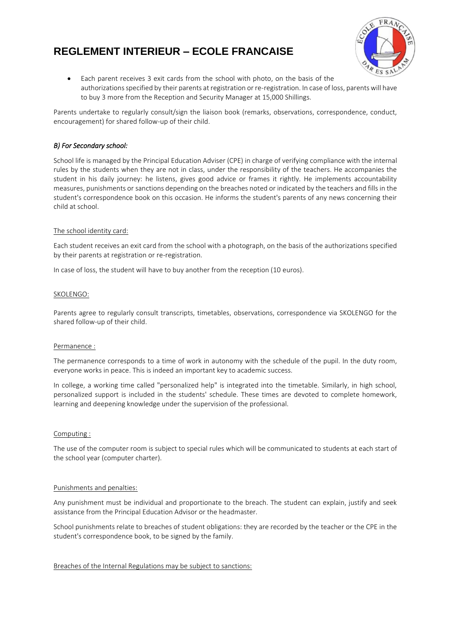

• Each parent receives 3 exit cards from the school with photo, on the basis of the authorizations specified by their parents at registration or re-registration. In case of loss, parents will have to buy 3 more from the Reception and Security Manager at 15,000 Shillings.

Parents undertake to regularly consult/sign the liaison book (remarks, observations, correspondence, conduct, encouragement) for shared follow-up of their child.

### *B) For Secondary school:*

School life is managed by the Principal Education Adviser (CPE) in charge of verifying compliance with the internal rules by the students when they are not in class, under the responsibility of the teachers. He accompanies the student in his daily journey: he listens, gives good advice or frames it rightly. He implements accountability measures, punishments or sanctions depending on the breaches noted or indicated by the teachers and fills in the student's correspondence book on this occasion. He informs the student's parents of any news concerning their child at school.

### The school identity card:

Each student receives an exit card from the school with a photograph, on the basis of the authorizations specified by their parents at registration or re-registration.

In case of loss, the student will have to buy another from the reception (10 euros).

### SKOLENGO:

Parents agree to regularly consult transcripts, timetables, observations, correspondence via SKOLENGO for the shared follow-up of their child.

### Permanence :

The permanence corresponds to a time of work in autonomy with the schedule of the pupil. In the duty room, everyone works in peace. This is indeed an important key to academic success.

In college, a working time called "personalized help" is integrated into the timetable. Similarly, in high school, personalized support is included in the students' schedule. These times are devoted to complete homework, learning and deepening knowledge under the supervision of the professional.

### Computing :

The use of the computer room is subject to special rules which will be communicated to students at each start of the school year (computer charter).

### Punishments and penalties:

Any punishment must be individual and proportionate to the breach. The student can explain, justify and seek assistance from the Principal Education Advisor or the headmaster.

School punishments relate to breaches of student obligations: they are recorded by the teacher or the CPE in the student's correspondence book, to be signed by the family.

### Breaches of the Internal Regulations may be subject to sanctions: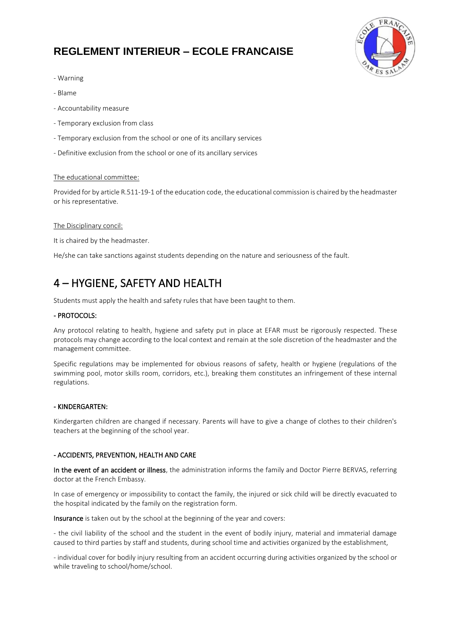

- Warning
- Blame
- Accountability measure
- Temporary exclusion from class
- Temporary exclusion from the school or one of its ancillary services
- Definitive exclusion from the school or one of its ancillary services

### The educational committee:

Provided for by article R.511-19-1 of the education code, the educational commission is chaired by the headmaster or his representative.

#### The Disciplinary concil:

It is chaired by the headmaster.

He/she can take sanctions against students depending on the nature and seriousness of the fault.

# 4 – HYGIENE, SAFETY AND HEALTH

Students must apply the health and safety rules that have been taught to them.

### - PROTOCOLS:

Any protocol relating to health, hygiene and safety put in place at EFAR must be rigorously respected. These protocols may change according to the local context and remain at the sole discretion of the headmaster and the management committee.

Specific regulations may be implemented for obvious reasons of safety, health or hygiene (regulations of the swimming pool, motor skills room, corridors, etc.), breaking them constitutes an infringement of these internal regulations.

#### - KINDERGARTEN:

Kindergarten children are changed if necessary. Parents will have to give a change of clothes to their children's teachers at the beginning of the school year.

### - ACCIDENTS, PREVENTION, HEALTH AND CARE

In the event of an accident or illness, the administration informs the family and Doctor Pierre BERVAS, referring doctor at the French Embassy.

In case of emergency or impossibility to contact the family, the injured or sick child will be directly evacuated to the hospital indicated by the family on the registration form.

Insurance is taken out by the school at the beginning of the year and covers:

- the civil liability of the school and the student in the event of bodily injury, material and immaterial damage caused to third parties by staff and students, during school time and activities organized by the establishment,

- individual cover for bodily injury resulting from an accident occurring during activities organized by the school or while traveling to school/home/school.